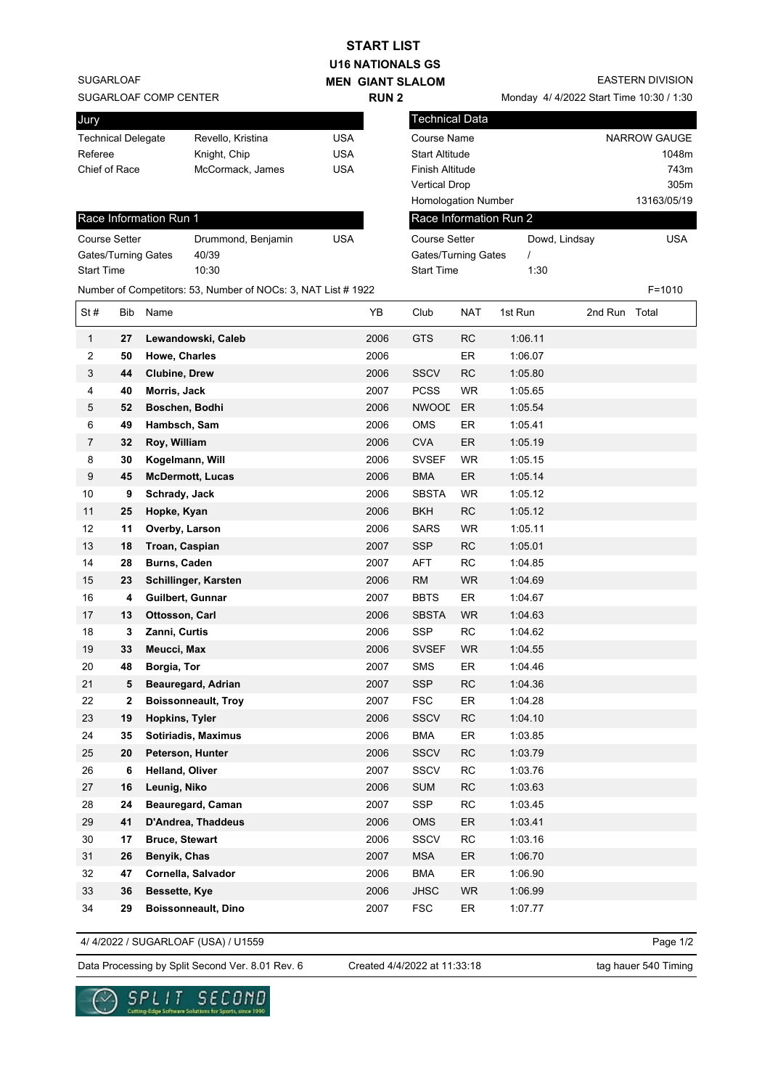| <b>START LIST</b>                           |     |                        |                                                               |             |                         |                       |                                         |                        |               |              |
|---------------------------------------------|-----|------------------------|---------------------------------------------------------------|-------------|-------------------------|-----------------------|-----------------------------------------|------------------------|---------------|--------------|
| <b>U16 NATIONALS GS</b>                     |     |                        |                                                               |             |                         |                       |                                         |                        |               |              |
| <b>SUGARLOAF</b><br><b>MEN GIANT SLALOM</b> |     |                        |                                                               |             | <b>EASTERN DIVISION</b> |                       |                                         |                        |               |              |
| SUGARLOAF COMP CENTER                       |     |                        |                                                               | <b>RUN2</b> |                         |                       | Monday 4/4/2022 Start Time 10:30 / 1:30 |                        |               |              |
| Jury                                        |     |                        |                                                               |             |                         | Technical Data        |                                         |                        |               |              |
| <b>Technical Delegate</b>                   |     |                        | Revello, Kristina                                             | <b>USA</b>  |                         | <b>Course Name</b>    |                                         |                        |               | NARROW GAUGE |
| Referee                                     |     |                        | Knight, Chip                                                  | <b>USA</b>  |                         | <b>Start Altitude</b> |                                         |                        |               | 1048m        |
| Chief of Race                               |     |                        | McCormack, James                                              | <b>USA</b>  |                         | Finish Altitude       |                                         |                        |               | 743m         |
|                                             |     |                        |                                                               |             |                         | <b>Vertical Drop</b>  |                                         |                        |               | 305m         |
|                                             |     |                        |                                                               |             |                         | Homologation Number   |                                         |                        |               | 13163/05/19  |
|                                             |     | Race Information Run 1 |                                                               |             |                         |                       |                                         | Race Information Run 2 |               |              |
| <b>Course Setter</b>                        |     |                        | Drummond, Benjamin                                            | <b>USA</b>  |                         | <b>Course Setter</b>  |                                         | Dowd, Lindsay          |               | <b>USA</b>   |
|                                             |     | Gates/Turning Gates    | 40/39                                                         |             |                         | Gates/Turning Gates   |                                         | $\prime$               |               |              |
| <b>Start Time</b>                           |     |                        | 10:30                                                         |             |                         | <b>Start Time</b>     |                                         | 1:30                   |               |              |
|                                             |     |                        | Number of Competitors: 53, Number of NOCs: 3, NAT List # 1922 |             |                         |                       |                                         |                        |               | $F = 1010$   |
| St#                                         | Bib | Name                   |                                                               |             | YΒ                      | Club                  | <b>NAT</b>                              | 1st Run                | 2nd Run Total |              |
| $\mathbf{1}$                                | 27  |                        | Lewandowski, Caleb                                            |             | 2006                    | <b>GTS</b>            | RC                                      | 1:06.11                |               |              |
| 2                                           | 50  | Howe, Charles          |                                                               |             | 2006                    |                       | ER                                      | 1:06.07                |               |              |
| 3                                           | 44  | <b>Clubine, Drew</b>   |                                                               |             | 2006                    | <b>SSCV</b>           | RC                                      | 1:05.80                |               |              |
| 4                                           | 40  | Morris, Jack           |                                                               |             | 2007                    | <b>PCSS</b>           | <b>WR</b>                               | 1:05.65                |               |              |
| 5                                           | 52  | Boschen, Bodhi         |                                                               |             | 2006                    | <b>NWOOL</b>          | ER                                      | 1:05.54                |               |              |
| 6                                           | 49  | Hambsch, Sam           |                                                               |             | 2006                    | <b>OMS</b>            | ER                                      | 1:05.41                |               |              |
| 7                                           | 32  | Roy, William           |                                                               |             | 2006                    | <b>CVA</b>            | ER                                      | 1:05.19                |               |              |
| 8                                           | 30  | Kogelmann, Will        |                                                               |             | 2006                    | <b>SVSEF</b>          | <b>WR</b>                               | 1:05.15                |               |              |
| 9                                           | 45  |                        | <b>McDermott, Lucas</b>                                       |             | 2006                    | <b>BMA</b>            | ER                                      | 1:05.14                |               |              |
| 10                                          | 9   | Schrady, Jack          |                                                               |             | 2006                    | <b>SBSTA</b>          | <b>WR</b>                               | 1:05.12                |               |              |
| 11                                          | 25  | Hopke, Kyan            |                                                               |             | 2006                    | <b>BKH</b>            | RC                                      | 1:05.12                |               |              |
| 12                                          | 11  | Overby, Larson         |                                                               |             | 2006                    | <b>SARS</b>           | <b>WR</b>                               | 1:05.11                |               |              |
| 13                                          | 18  | Troan, Caspian         |                                                               |             | 2007                    | <b>SSP</b>            | RC                                      | 1:05.01                |               |              |
| 14                                          | 28  | Burns, Caden           |                                                               |             | 2007                    | AFT                   | <b>RC</b>                               | 1:04.85                |               |              |
| 15                                          | 23  |                        | Schillinger, Karsten                                          |             | 2006                    | <b>RM</b>             | <b>WR</b>                               | 1:04.69                |               |              |
| 16                                          | 4   | Guilbert, Gunnar       |                                                               |             | 2007                    | <b>BBTS</b>           | ER                                      | 1:04.67                |               |              |
| 17                                          | 13  | Ottosson, Carl         |                                                               |             | 2006                    | <b>SBSTA</b>          | WR                                      | 1:04.63                |               |              |
| 18                                          | 3   | Zanni, Curtis          |                                                               |             | 2006                    | SSP                   | RC                                      | 1:04.62                |               |              |
| 19                                          | 33  | Meucci, Max            |                                                               |             | 2006                    | <b>SVSEF</b>          | WR                                      | 1:04.55                |               |              |
| 20                                          | 48  | Borgia, Tor            |                                                               |             | 2007                    | <b>SMS</b>            | ER                                      | 1:04.46                |               |              |
| 21                                          | 5   |                        | Beauregard, Adrian                                            |             | 2007                    | <b>SSP</b>            | <b>RC</b>                               | 1:04.36                |               |              |
| 22                                          | 2   |                        | <b>Boissonneault, Troy</b>                                    |             | 2007                    | <b>FSC</b>            | ER                                      | 1:04.28                |               |              |
| 23                                          | 19  | <b>Hopkins, Tyler</b>  |                                                               |             | 2006                    | <b>SSCV</b>           | <b>RC</b>                               | 1:04.10                |               |              |
| 24                                          | 35  |                        | Sotiriadis, Maximus                                           |             | 2006                    | <b>BMA</b>            | ER                                      | 1:03.85                |               |              |
| 25                                          | 20  |                        | Peterson, Hunter                                              |             | 2006                    | <b>SSCV</b>           | RC                                      | 1:03.79                |               |              |
| 26                                          | 6   | Helland, Oliver        |                                                               |             | 2007                    | SSCV                  | RC                                      | 1:03.76                |               |              |
| 27                                          | 16  | Leunig, Niko           |                                                               |             | 2006                    | <b>SUM</b>            | RC                                      | 1:03.63                |               |              |
| 28                                          | 24  |                        | Beauregard, Caman                                             |             | 2007                    | SSP                   | RC                                      | 1:03.45                |               |              |
| 29                                          | 41  |                        | D'Andrea, Thaddeus                                            |             | 2006                    | <b>OMS</b>            | ER                                      | 1:03.41                |               |              |
| 30                                          | 17  | <b>Bruce, Stewart</b>  |                                                               |             | 2006                    | SSCV                  | <b>RC</b>                               | 1:03.16                |               |              |
| 31                                          | 26  | Benyik, Chas           |                                                               |             | 2007                    | <b>MSA</b>            | ER                                      | 1:06.70                |               |              |
| 32                                          | 47  |                        | Cornella, Salvador                                            |             | 2006                    | <b>BMA</b>            | ER                                      | 1:06.90                |               |              |
| 33                                          | 36  | Bessette, Kye          |                                                               |             | 2006                    | <b>JHSC</b>           | WR                                      | 1:06.99                |               |              |
| 34                                          | 29  |                        | <b>Boissonneault, Dino</b>                                    |             | 2007                    | <b>FSC</b>            | ER                                      | 1:07.77                |               |              |
|                                             |     |                        |                                                               |             |                         |                       |                                         |                        |               |              |

4/ 4/2022 / SUGARLOAF (USA) / U1559

Page 1/2

Data Processing by Split Second Ver. 8.01 Rev. 6 Created 4/4/2022 at 11:33:18 tag hauer 540 Timing

Created 4/4/2022 at 11:33:18